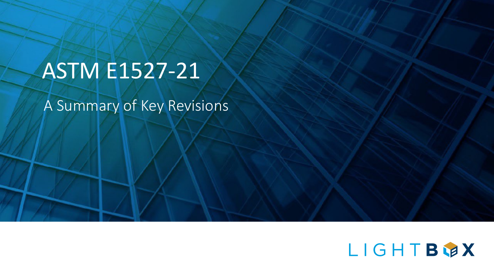# ASTM E1527-21

A Summary of Key Revisions

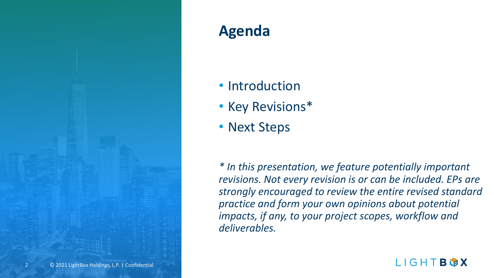

## **Agenda**

- Introduction
- Key Revisions\*
- Next Steps

*\* In this presentation, we feature potentially important revisions. Not every revision is or can be included. EPs are strongly encouraged to review the entire revised standard practice and form your own opinions about potential impacts, if any, to your project scopes, workflow and deliverables.*

LIGHTBWX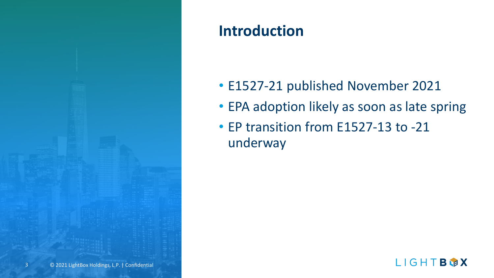

### **Introduction**

- E1527-21 published November 2021
- EPA adoption likely as soon as late spring
- EP transition from E1527-13 to -21 underway

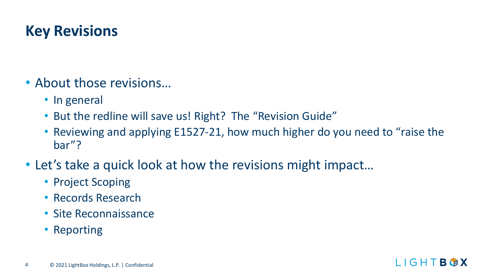### **Key Revisions**

- About those revisions…
	- In general
	- But the redline will save us! Right? The "Revision Guide"
	- Reviewing and applying E1527-21, how much higher do you need to "raise the bar"?
- Let's take a quick look at how the revisions might impact…
	- Project Scoping
	- Records Research
	- Site Reconnaissance
	- Reporting

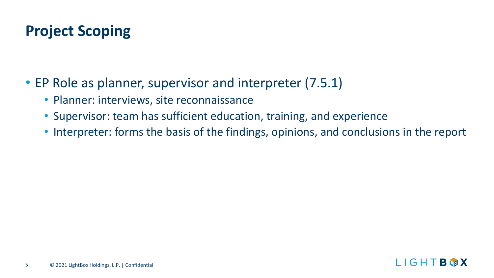### **Project Scoping**

- EP Role as planner, supervisor and interpreter (7.5.1)
	- Planner: interviews, site reconnaissance
	- Supervisor: team has sufficient education, training, and experience
	- Interpreter: forms the basis of the findings, opinions, and conclusions in the report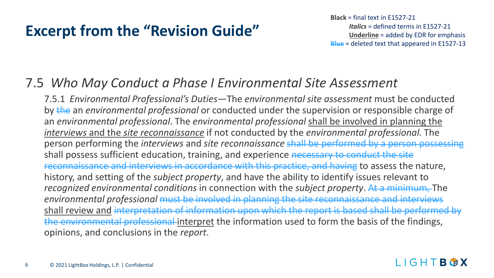**Black** = final text in E1527-21 *Italics* = defined terms in E1527-21 **Underline** = added by EDR for emphasis **Blue** = deleted text that appeared in E1527-13

LIGHTBWX

### 7.5 *Who May Conduct a Phase I Environmental Site Assessment*

7.5.1 *Environmental Professional's Duties*—The *environmental site assessment* must be conducted by the an *environmental professional* or conducted under the supervision or responsible charge of an *environmental professional*. The *environmental professional* shall be involved in planning the *interviews* and the *site reconnaissance* if not conducted by the *environmental professional.* The person performing the *interviews* and *site reconnaissance* shall be performed by a person possessing shall possess sufficient education, training, and experience necessary to conduct the site reconnaissance and interviews in accordance with this practice, and having to assess the nature, history, and setting of the *subject property*, and have the ability to identify issues relevant to *recognized environmental conditions* in connection with the *subject property*. At a minimum, The *environmental professional* must be involved in planning the site reconnaissance and interviews shall review and interpretation of information upon which the report is based shall be performed by the environmental professional interpret the information used to form the basis of the findings, opinions, and conclusions in the *report*.

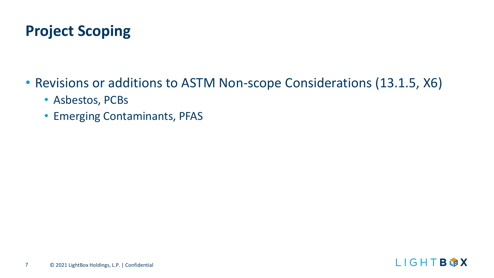### **Project Scoping**

- Revisions or additions to ASTM Non-scope Considerations (13.1.5, X6)
	- Asbestos, PCBs
	- Emerging Contaminants, PFAS

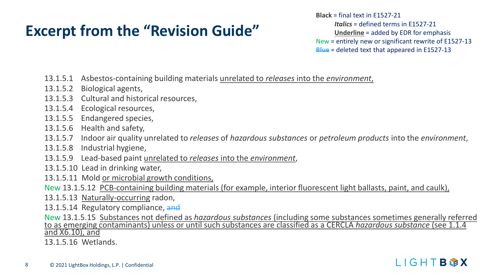**Black** = final text in E1527-21 *Italics* = defined terms in E1527-21 **Underline** = added by EDR for emphasis New = entirely new or significant rewrite of E1527-13 **Blue** = deleted text that appeared in E1527-13

LIGHTBWX

- 13.1.5.1 Asbestos-containing building materials unrelated to *releases* into the *environment*,
- 13.1.5.2 Biological agents,
- 13.1.5.3 Cultural and historical resources,
- 13.1.5.4 Ecological resources,
- 13.1.5.5 Endangered species,
- 13.1.5.6 Health and safety,
- 13.1.5.7 Indoor air quality unrelated to *releases* of *hazardous substances* or *petroleum products* into the *environment*,
- 13.1.5.8 Industrial hygiene,
- 13.1.5.9 Lead-based paint unrelated to *releases* into the *environment*,
- 13.1.5.10 Lead in drinking water,
- 13.1.5.11 Mold or microbial growth conditions,
- New 13.1.5.12 PCB-containing building materials (for example, interior fluorescent light ballasts, paint, and caulk),
- 13.1.5.13 Naturally-occurring radon,
- 13.1.5.14 Regulatory compliance, and
- New 13.1.5.15 Substances not defined as *hazardous substances* (including some substances sometimes generally referred<br>to as emerging contaminants) unless or until such substances are classified as a CERCLA *hazardous subs*
- 13.1.5.16 Wetlands.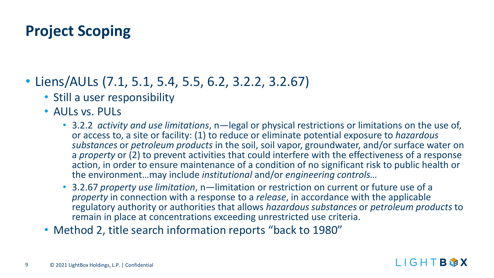### **Project Scoping**

- Liens/AULs (7.1, 5.1, 5.4, 5.5, 6.2, 3.2.2, 3.2.67)
	- Still a user responsibility
	- AULS vs. PULS
		- 3.2.2 *activity and use limitations*, n—legal or physical restrictions or limitations on the use of, or access to, a site or facility: (1) to reduce or eliminate potential exposure to *hazardous substances* or *petroleum products* in the soil, soil vapor, groundwater, and/or surface water on a *property* or (2) to prevent activities that could interfere with the effectiveness of a response action, in order to ensure maintenance of a condition of no significant risk to public health or the environment…may include *institutional* and/or *engineering controls…*
		- 3.2.67 *property use limitation*, n—limitation or restriction on current or future use of a *property* in connection with a response to a *release*, in accordance with the applicable regulatory authority or authorities that allows *hazardous substances* or *petroleum products* to remain in place at concentrations exceeding unrestricted use criteria.
	- Method 2, title search information reports "back to 1980"

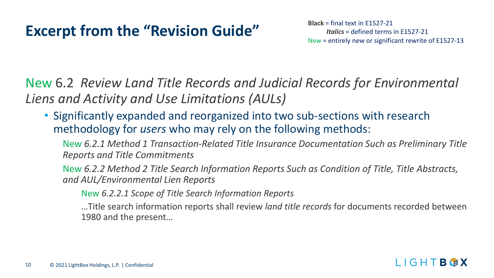# **Excerpt from the "Revision Guide"** Black = final text in E1527-21

*Italics* = defined terms in E1527-21 New = entirely new or significant rewrite of E1527-13

New 6.2 *Review Land Title Records and Judicial Records for Environmental Liens and Activity and Use Limitations (AULs)*

• Significantly expanded and reorganized into two sub-sections with research methodology for *users* who may rely on the following methods:

New *6.2.1 Method 1 Transaction-Related Title Insurance Documentation Such as Preliminary Title Reports and Title Commitments* 

New *6.2.2 Method 2 Title Search Information Reports Such as Condition of Title, Title Abstracts, and AUL/Environmental Lien Reports* 

New *6.2.2.1 Scope of Title Search Information Reports*

…Title search information reports shall review *land title records* for documents recorded between 1980 and the present…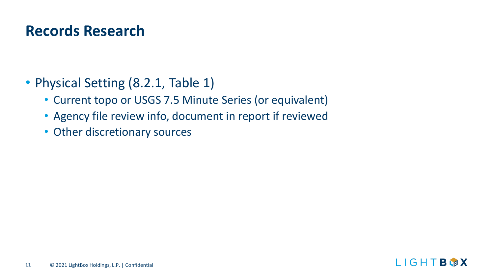### **Records Research**

- Physical Setting (8.2.1, Table 1)
	- Current topo or USGS 7.5 Minute Series (or equivalent)
	- Agency file review info, document in report if reviewed
	- Other discretionary sources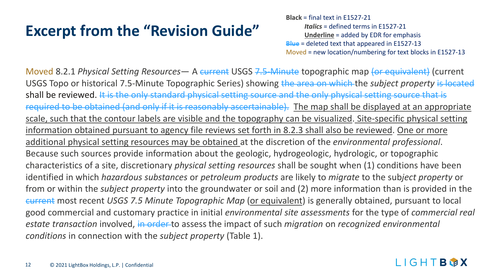**Black** = final text in E1527-21 *Italics* = defined terms in E1527-21 **Underline** = added by EDR for emphasis **Blue** = deleted text that appeared in E1527-13 Moved = new location/numbering for text blocks in E1527-13

Moved 8.2.1 *Physical Setting Resources*— A current USGS 7.5 Minute topographic map (or equivalent) (current USGS Topo or historical 7.5-Minute Topographic Series) showing the area on which the *subject property* is located shall be reviewed. It is the only standard physical setting source and the only physical setting source that is required to be obtained (and only if it is reasonably ascertainable). The map shall be displayed at an appropriate scale, such that the contour labels are visible and the topography can be visualized. Site-specific physical setting information obtained pursuant to agency file reviews set forth in 8.2.3 shall also be reviewed. One or more additional physical setting resources may be obtained at the discretion of the *environmental professional*. Because such sources provide information about the geologic, hydrogeologic, hydrologic, or topographic characteristics of a site, discretionary *physical setting resources* shall be sought when (1) conditions have been identified in which *hazardous substances* or *petroleum products* are likely to *migrate* to the sub*ject property* or from or within the *subject property* into the groundwater or soil and (2) more information than is provided in the current most recent *USGS 7.5 Minute Topographic Map* (or equivalent) is generally obtained, pursuant to local good commercial and customary practice in initial *environmental site assessments* for the type of *commercial real estate transaction* involved, in order to assess the impact of such *migration* on *recognized environmental conditions* in connection with the *subject property* (Table 1).

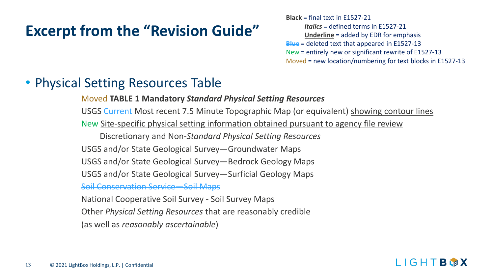**Black** = final text in E1527-21 *Italics* = defined terms in E1527-21 **Underline** = added by EDR for emphasis **Blue** = deleted text that appeared in E1527-13 New = entirely new or significant rewrite of E1527-13 Moved = new location/numbering for text blocks in E1527-13

### • Physical Setting Resources Table

#### Moved **TABLE 1 Mandatory** *Standard Physical Setting Resources*

USGS Current Most recent 7.5 Minute Topographic Map (or equivalent) showing contour lines New Site-specific physical setting information obtained pursuant to agency file review

Discretionary and Non-*Standard Physical Setting Resources*

USGS and/or State Geological Survey—Groundwater Maps

USGS and/or State Geological Survey—Bedrock Geology Maps

USGS and/or State Geological Survey—Surficial Geology Maps

Soil Conservation Service—Soil Maps

National Cooperative Soil Survey - Soil Survey Maps Other *Physical Setting Resources* that are reasonably credible (as well as *reasonably ascertainable*)

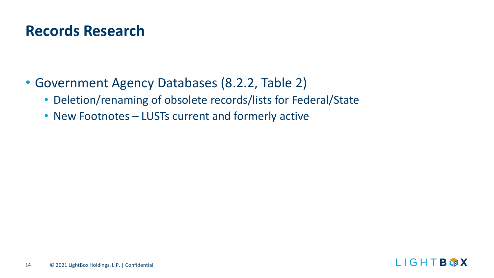### **Records Research**

- Government Agency Databases (8.2.2, Table 2)
	- Deletion/renaming of obsolete records/lists for Federal/State
	- New Footnotes LUSTs current and formerly active

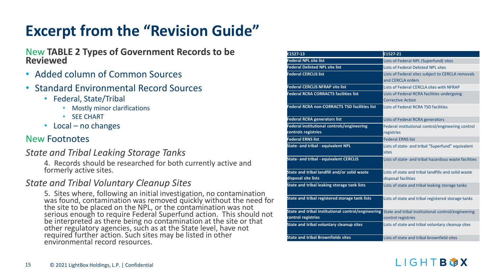# New **TABLE 2 Types of Government Records to be Reviewed**

- Added column of Common Sources
- Standard Environmental Record Sources
	- Federal, State/Tribal
		- Mostly minor clarifications
		- SEE CHART
	- Local no changes

#### New Footnotes

#### *State and Tribal Leaking Storage Tanks*

4. Records should be researched for both currently active and formerly active sites.

#### *State and Tribal Voluntary Cleanup Sites*

5. Sites where, following an initial investigation, no contamination was found, contamination was removed quickly without the need for the site to be placed on the NPL, or the contamination was not serious enough to require Federal Superfund action. This should not be interpreted as there being no contamination at the site or that other regulatory agencies, such as at the State level, have not required further action. Such sites may be listed in other environmental record resources.

| E1527-13                                                                 | E1527-21                                                                   |
|--------------------------------------------------------------------------|----------------------------------------------------------------------------|
|                                                                          |                                                                            |
| <b>Federal NPL site list</b>                                             | Lists of Federal NPL (Superfund) sites                                     |
| <b>Federal Delisted NPL site list</b>                                    | Lists of Federal Delisted NPL sites                                        |
| <b>Federal CERCLIS list</b>                                              | Lists of Federal sites subject to CERCLA removals<br>and CERCLA orders     |
| <b>Federal CERCLIS NFRAP site list</b>                                   | Lists of Federal CERCLA sites with NFRAP                                   |
| <b>Federal RCRA CORRACTS facilities list</b>                             | Lists of Federal RCRA facilities undergoing<br><b>Corrective Action</b>    |
| <b>Federal RCRA non-CORRACTS TSD facilities list</b>                     | Lists of Federal RCRA TSD facilities                                       |
| <b>Federal RCRA generators list</b>                                      | Lists of Federal RCRA generators                                           |
| Federal institutional controls/engineering<br>controls registries        | Federal institutional control/engineering control<br>registries            |
| <b>Federal ERNS list</b>                                                 | <b>Federal ERNS list</b>                                                   |
| <b>State- and tribal - equivalent NPL</b>                                | Lists of state- and tribal "Superfund" equivalent<br>sites                 |
| <b>State- and tribal - equivalent CERCLIS</b>                            | Lists of state- and tribal hazardous waste facilities                      |
| State and tribal landfill and/or solid waste<br>disposal site lists      | Lists of state and tribal landfills and solid waste<br>disposal facilities |
| State and tribal leaking storage tank lists                              | Lists of state and tribal leaking storage tanks                            |
| State and tribal registered storage tank lists                           | Lists of state and tribal registered storage tanks                         |
| State and tribal institutional control/engineering<br>control registries | State and tribal institutional control/engineering<br>control registries   |
| State and tribal voluntary cleanup sites                                 | Lists of state and tribal voluntary cleanup sites                          |
| <b>State and tribal Brownfields sites</b>                                | Lists of state and tribal brownfield sites                                 |

#### LIGHTBWX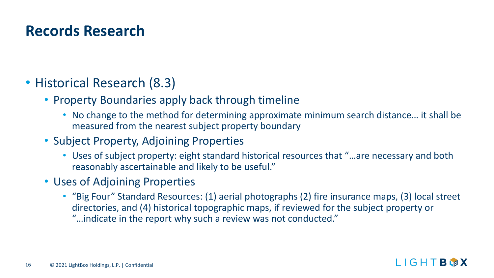### **Records Research**

- Historical Research (8.3)
	- Property Boundaries apply back through timeline
		- No change to the method for determining approximate minimum search distance… it shall be measured from the nearest subject property boundary
	- Subject Property, Adjoining Properties
		- Uses of subject property: eight standard historical resources that "…are necessary and both reasonably ascertainable and likely to be useful."
	- Uses of Adjoining Properties
		- "Big Four" Standard Resources: (1) aerial photographs (2) fire insurance maps, (3) local street directories, and (4) historical topographic maps, if reviewed for the subject property or "…indicate in the report why such a review was not conducted."

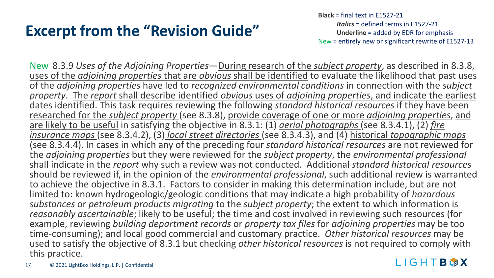**Black** = final text in E1527-21 *Italics* = defined terms in E1527-21 **Underline** = added by EDR for emphasis New = entirely new or significant rewrite of E1527-13

New 8.3.9 *Uses of the Adjoining Properties*—During research of the *subject property*, as described in 8.3.8, uses of the *adjoining properties* that are *obvious* shall be identified to evaluate the likelihood that past uses of the *adjoining properties* have led to *recognized environmental conditions* in connection with the *subject property*. The *report* shall describe identified *obvious* uses of *adjoining properties*, and indicate the earliest dates identified. This task requires reviewing the following *standard historical resources* if they have been researched for the *subject property* (see 8.3.8), provide coverage of one or more *adjoining properties*, and are likely to be useful in satisfying the objective in 8.3.1: (1) *aerial photographs* (see 8.3.4.1), (2) *fire insurance maps* (see 8.3.4.2), (3) *local street directories* (see 8.3.4.3), and (4) historical *topographic maps* (see 8.3.4.4). In cases in which any of the preceding four *standard historical resources* are not reviewed for the *adjoining properties* but they were reviewed for the *subject property*, the *environmental professional* shall indicate in the *report* why such a review was not conducted. Additional *standard historical resources* should be reviewed if, in the opinion of the *environmental professional*, such additional review is warranted to achieve the objective in 8.3.1. Factors to consider in making this determination include, but are not limited to: known hydrogeologic/geologic conditions that may indicate a high probability of *hazardous substances* or *petroleum products migrating* to the *subject property*; the extent to which information is *reasonably ascertainable*; likely to be useful; the time and cost involved in reviewing such resources (for example, reviewing *building department records* or *property tax files* for *adjoining properties* may be too time-consuming); and local good commercial and customary practice. *Other historical resources* may be used to satisfy the objective of 8.3.1 but checking *other historical resources* is not required to comply with this practice.

#### LIGHTBWX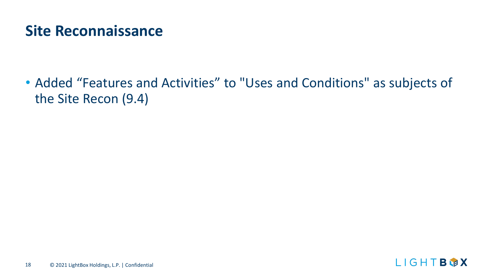### **Site Reconnaissance**

• Added "Features and Activities" to "Uses and Conditions" as subjects of the Site Recon (9.4)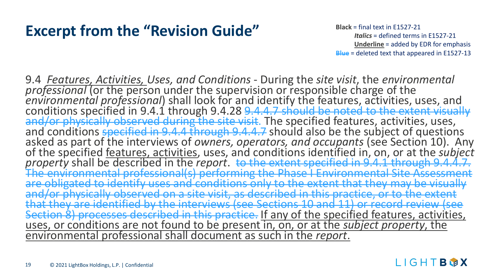### **Excerpt from the "Revision Guide"** Black = final text in E1527-21

*Italics* = defined terms in E1527-21 **Underline** = added by EDR for emphasis **Blue** = deleted text that appeared in E1527-13

9.4 *Features, Activities, Uses, and Conditions* - During the *site visit*, the *environmental professional* (or the person under the supervision or responsible charge of the<br>environmental professional) shall look for and identify the features, activities, uses, and<br>conditions specified in 9.4.1 through 9.4.28 <del>9.4</del> of the specified <u>features, activities</u>, uses, and conditions identified in, on, or at the *subject* property shall be described in the *report*. <del>to the extent specified in 9.4.1 through 9.4.4.7.</del><br>The environmental profes obligated to identify uses and conditions only to the extent and/or physically observed on a site visit, as described in this practice, or to the extent **fsee Sections 10 and 11)** Section 8) processes described in this practice. <u>If any of the specified features, activities,</u><br>uses, or conditions are not found to be present in, on, or at the *subject property*, the ental professional shall document as such in the *report*.

#### LIGHIBMX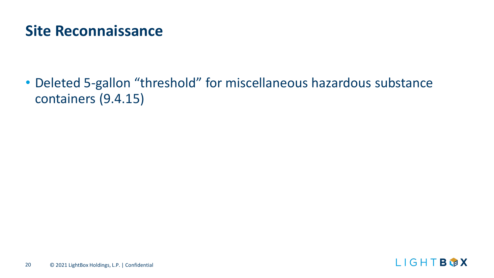### **Site Reconnaissance**

• Deleted 5-gallon "threshold" for miscellaneous hazardous substance containers (9.4.15)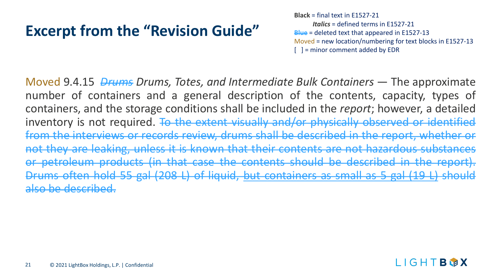**Black** = final text in E1527-21 *Italics* = defined terms in E1527-21 **Blue** = deleted text that appeared in E1527-13 Moved = new location/numbering for text blocks in E1527-13 [ ] = minor comment added by EDR

Moved 9.4.15 *Drums Drums, Totes, and Intermediate Bulk Containers* — The approximate number of containers and a general description of the contents, capacity, types of containers, and the storage conditions shall be included in the *report*; however, a detailed inventory is not required. To the extent visually and/or physically observed or identified from the interviews or records review, drums shall be described in the report, whether or not they are leaking, unless it is known that their contents are not hazardous substances or petroleum products (in that case the contents should be described in the report). Drums often hold 55 gal (208 L) of liquid, but containers as small as 5 gal (19 L) should also be described.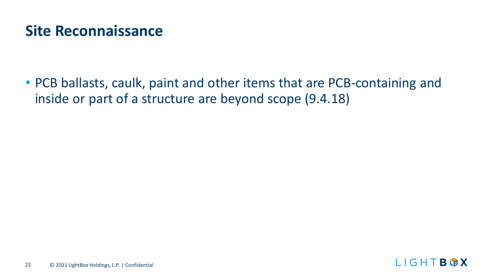### **Site Reconnaissance**

• PCB ballasts, caulk, paint and other items that are PCB-containing and inside or part of a structure are beyond scope (9.4.18)

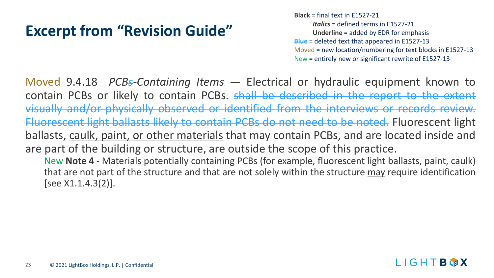**Black** = final text in E1527-21 *Italics* = defined terms in E1527-21 **Underline** = added by EDR for emphasis **Blue** = deleted text that appeared in E1527-13 Moved = new location/numbering for text blocks in E1527-13 New = entirely new or significant rewrite of E1527-13

Moved 9.4.18 *PCBs-Containing Items* — Electrical or hydraulic equipment known to contain PCBs or likely to contain PCBs. shall be described in the report to the extent visually and/or physically observed or identified from the interviews or records review. Fluorescent light ballasts likely to contain PCBs do not need to be noted. Fluorescent light ballasts, caulk, paint, or other materials that may contain PCBs, and are located inside and are part of the building or structure, are outside the scope of this practice. New **Note 4** - Materials potentially containing PCBs (for example, fluorescent light ballasts, paint, caulk) that are not part of the structure and that are not solely within the structure may require identification

[see X1.1.4.3(2)].

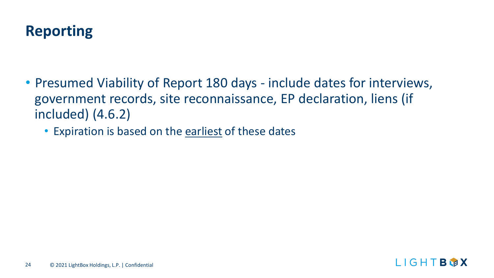

- Presumed Viability of Report 180 days include dates for interviews, government records, site reconnaissance, EP declaration, liens (if included) (4.6.2)
	- Expiration is based on the earliest of these dates

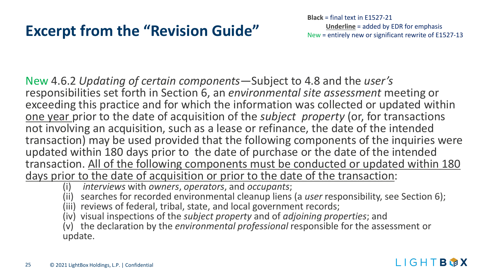**Black** = final text in E1527-21 **Underline** = added by EDR for emphasis New = entirely new or significant rewrite of E1527-13

New 4.6.2 *Updating of certain components—*Subject to 4.8 and the *user's* responsibilities set forth in Section 6, an *environmental site assessment* meeting or exceeding this practice and for which the information was collected or updated within one year prior to the date of acquisition of the *subject property* (or, for transactions not involving an acquisition, such as a lease or refinance, the date of the intended transaction) may be used provided that the following components of the inquiries were updated within 180 days prior to the date of purchase or the date of the intended transaction. All of the following components must be conducted or updated within 180 days prior to the date of acquisition or prior to the date of the transaction:

(i) *interviews* with *owners*, *operators*, and *occupants*;

(ii) searches for recorded environmental cleanup liens (a *user* responsibility, see Section 6);

(iii) reviews of federal, tribal, state, and local government records;

(iv) visual inspections of the *subject property* and of *adjoining properties*; and

(v) the declaration by the *environmental professional* responsible for the assessment or update.

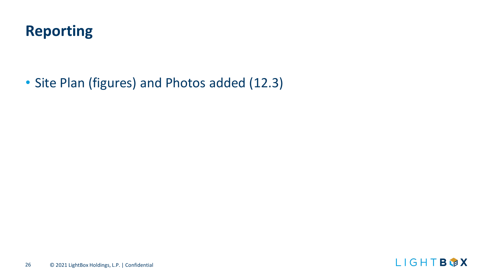

• Site Plan (figures) and Photos added (12.3)

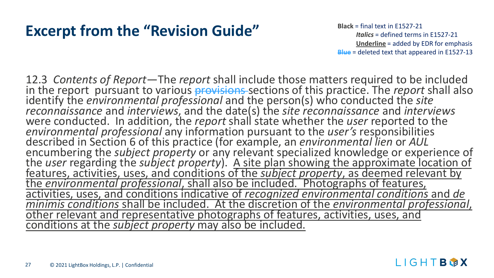### **Excerpt from the "Revision Guide" Black** = final text in E1527-21

*Italics* = defined terms in E1527-21 **Underline** = added by EDR for emphasis **Blue** = deleted text that appeared in E1527-13

LIGHTBWX

12.3 *Contents of Report*—The *report* shall include those matters required to be included in the report pursuant to various provisions sections of this practice. The *report* shall also identify the *environmental professional* and the person(s) who conducted the *site reconnaissance* and *interviews*, and the date(s) the *site reconnaissance* and *interviews* were conducted. In addition, the *report* shall state whether the *user* reported to the *environmental professional* any information pursuant to the *user's* responsibilities described in Section 6 of this practice (for e described in Section 6 of this practice (for example, an *environmental lien* or *AUL*<br>encumbering the *subject property* or any relevant specialized knowledge or experience of<br>the *user* regarding the *subject property*). *minimis conditions* shall be included. At the discretion of the *environmental professional*, other relevant and representative photographs of features, activities, uses, and conditions at the *subject property* may also be included.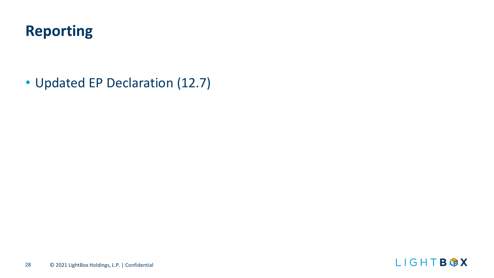### **Reporting**

• Updated EP Declaration (12.7)

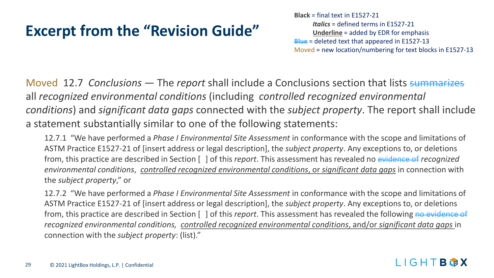**Black** = final text in E1527-21 *Italics* = defined terms in E1527-21 **Underline** = added by EDR for emphasis **Blue** = deleted text that appeared in E1527-13 Moved = new location/numbering for text blocks in E1527-13

Moved 12.7 *Conclusions* — The *report* shall include a Conclusions section that lists summarizes all *recognized environmental conditions* (including *controlled recognized environmental conditions*) and *significant data gaps* connected with the *subject property*. The report shall include a statement substantially similar to one of the following statements:

12.7.1 "We have performed a *Phase I Environmental Site Assessment* in conformance with the scope and limitations of ASTM Practice E1527-21 of [insert address or legal description], the *subject property*. Any exceptions to, or deletions from, this practice are described in Section [ ] of this *report*. This assessment has revealed no evidence of *recognized environmental conditions*, *controlled recognized environmental conditions*, or *significant data gaps* in connection with the *subject property*," or

12.7.2 "We have performed a *Phase I Environmental Site Assessment* in conformance with the scope and limitations of ASTM Practice E1527-21 of [insert address or legal description], the *subject property*. Any exceptions to, or deletions from, this practice are described in Section  $\lceil \,\rceil$  of this *report*. This assessment has revealed the following no evidence of *recognized environmental conditions, controlled recognized environmental conditions*, and/or *significant data gaps* in connection with the *subject property*: (list)."

#### LIGHTBLAX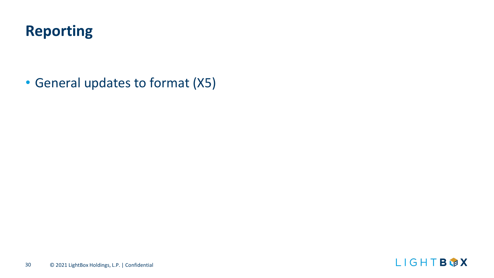### **Reporting**

• General updates to format (X5)

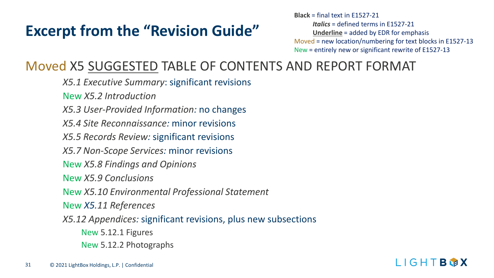**Black** = final text in E1527-21 *Italics* = defined terms in E1527-21 **Underline** = added by EDR for emphasis Moved = new location/numbering for text blocks in E1527-13 New = entirely new or significant rewrite of E1527-13

### Moved X5 SUGGESTED TABLE OF CONTENTS AND REPORT FORMAT

*X5.1 Executive Summary*: significant revisions New *X5.2 Introduction X5.3 User-Provided Information:* no changes *X5.4 Site Reconnaissance:* minor revisions *X5.5 Records Review:* significant revisions *X5.7 Non-Scope Services:* minor revisions New *X5.8 Findings and Opinions* New *X5.9 Conclusions* New *X5.10 Environmental Professional Statement* New *X5.11 References X5.12 Appendices:* significant revisions, plus new subsections New 5.12.1 Figures New 5.12.2 Photographs

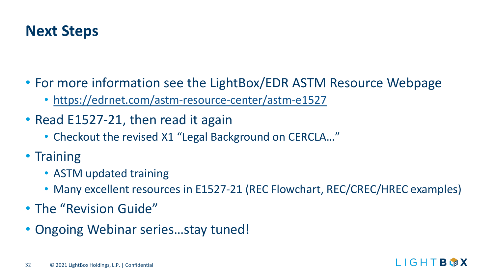### **Next Steps**

- For more information see the LightBox/EDR ASTM Resource Webpage
	- <https://edrnet.com/astm-resource-center/astm-e1527>
- Read E1527-21, then read it again
	- Checkout the revised X1 "Legal Background on CERCLA…"
- Training
	- ASTM updated training
	- Many excellent resources in E1527-21 (REC Flowchart, REC/CREC/HREC examples)
- The "Revision Guide"
- Ongoing Webinar series…stay tuned!

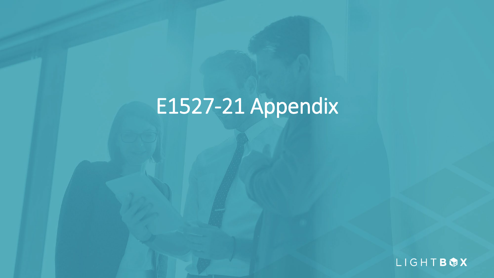# E1527-21 Appendix

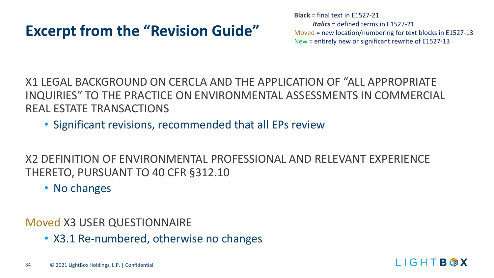**Black** = final text in E1527-21 *Italics* = defined terms in E1527-21 Moved = new location/numbering for text blocks in E1527-13 New = entirely new or significant rewrite of E1527-13

X1 LEGAL BACKGROUND ON CERCLA AND THE APPLICATION OF "ALL APPROPRIATE INQUIRIES" TO THE PRACTICE ON ENVIRONMENTAL ASSESSMENTS IN COMMERCIAL REAL ESTATE TRANSACTIONS

• Significant revisions, recommended that all EPs review

X2 DEFINITION OF ENVIRONMENTAL PROFESSIONAL AND RELEVANT EXPERIENCE THERETO, PURSUANT TO 40 CFR §312.10

• No changes

Moved X3 USER QUESTIONNAIRE

• X3.1 Re-numbered, otherwise no changes

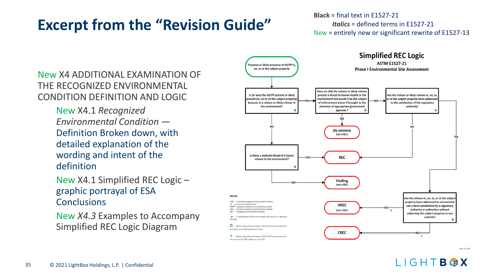**Black** = final text in E1527-21 *Italics* = defined terms in E1527-21 New = entirely new or significant rewrite of E1527-13

New X4 ADDITIONAL EXAMINATION OF THE RECOGNIZED ENVIRONMENTAL CONDITION DEFINITION AND LOGIC

> New X4.1 *Recognized Environmental Condition* — Definition Broken down, with detailed explanation of the wording and intent of the definition

New X4.1 Simplified REC Logic – graphic portrayal of ESA **Conclusions** 

New *X4.3* Examples to Accompany Simplified REC Logic Diagram